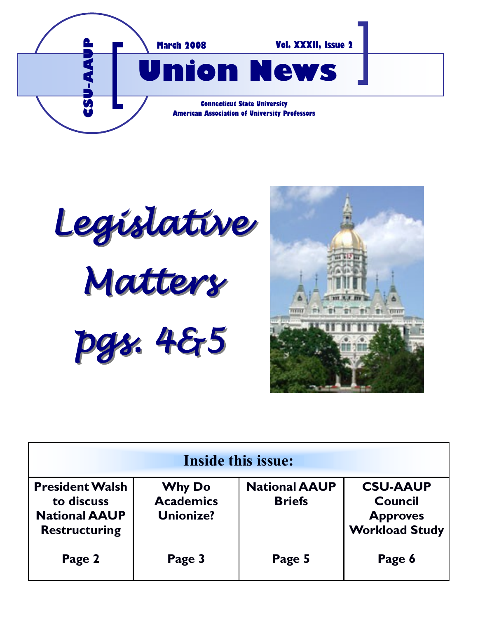

*Legislative Matters pgs. 4&5*



| Inside this issue:                                                                   |                                                       |                                       |                                                                               |
|--------------------------------------------------------------------------------------|-------------------------------------------------------|---------------------------------------|-------------------------------------------------------------------------------|
| <b>President Walsh</b><br>to discuss<br><b>National AAUP</b><br><b>Restructuring</b> | <b>Why Do</b><br><b>Academics</b><br><b>Unionize?</b> | <b>National AAUP</b><br><b>Briefs</b> | <b>CSU-AAUP</b><br><b>Council</b><br><b>Approves</b><br><b>Workload Study</b> |
| Page 2                                                                               | Page 3                                                | Page 5                                | Page 6                                                                        |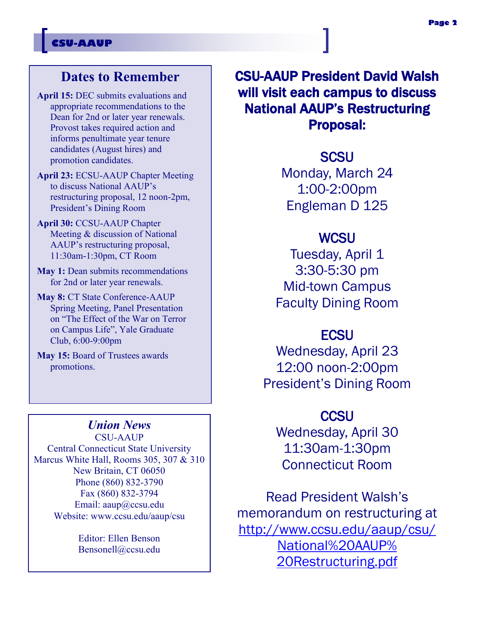#### **Dates to Remember**

- **April 15:** DEC submits evaluations and appropriate recommendations to the Dean for 2nd or later year renewals. Provost takes required action and informs penultimate year tenure candidates (August hires) and promotion candidates.
- **April 23:** ECSU-AAUP Chapter Meeting to discuss National AAUP's restructuring proposal, 12 noon-2pm, President's Dining Room
- **April 30:** CCSU-AAUP Chapter Meeting & discussion of National AAUP's restructuring proposal, 11:30am-1:30pm, CT Room
- **May 1:** Dean submits recommendations for 2nd or later year renewals.
- **May 8:** CT State Conference-AAUP Spring Meeting, Panel Presentation on "The Effect of the War on Terror on Campus Life", Yale Graduate Club, 6:00-9:00pm
- **May 15:** Board of Trustees awards promotions.

#### *Union News*

CSU-AAUP Central Connecticut State University Marcus White Hall, Rooms 305, 307 & 310 New Britain, CT 06050 Phone (860) 832-3790 Fax (860) 832-3794 Email: aaup@ccsu.edu Website: www.ccsu.edu/aaup/csu

> Editor: Ellen Benson Bensonell@ccsu.edu

CSU-AAUP President David Walsh will visit each campus to discuss National AAUP's Restructuring Proposal:

> **SCSU** Monday, March 24 1:00-2:00pm Engleman D 125

#### **WCSU**

Tuesday, April 1 3:30-5:30 pm Mid-town Campus Faculty Dining Room

#### **ECSU**

Wednesday, April 23 12:00 noon-2:00pm President's Dining Room

### **CCSU**

Wednesday, April 30 11:30am-1:30pm Connecticut Room

Read President Walsh's memorandum on restructuring at [http://www.ccsu.edu/aaup/csu/](http://www.ccsu.edu/aaup/csu/National%20AAUP%20Restructuring.pdf) [National%20AAUP%](http://www.ccsu.edu/aaup/csu/National%20AAUP%20Restructuring.pdf) [20Restructuring.pdf](http://www.ccsu.edu/aaup/csu/National%20AAUP%20Restructuring.pdf)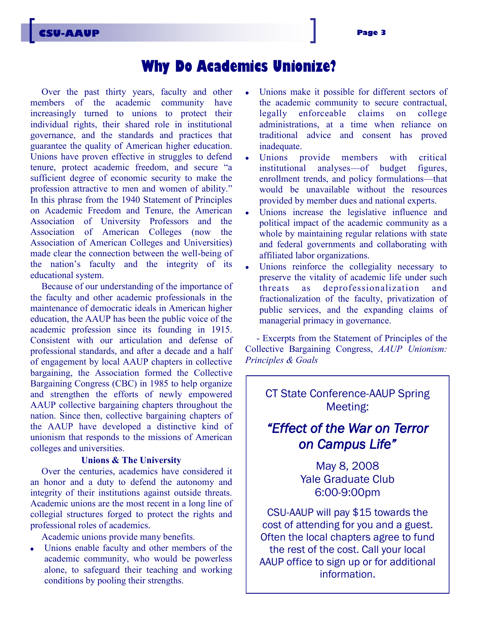### **Why Do Academics Unionize?**

Over the past thirty years, faculty and other members of the academic community have increasingly turned to unions to protect their individual rights, their shared role in institutional governance, and the standards and practices that guarantee the quality of American higher education. Unions have proven effective in struggles to defend tenure, protect academic freedom, and secure "a sufficient degree of economic security to make the profession attractive to men and women of ability." In this phrase from the 1940 Statement of Principles on Academic Freedom and Tenure, the American Association of University Professors and the Association of American Colleges (now the Association of American Colleges and Universities) made clear the connection between the well-being of the nation's faculty and the integrity of its educational system.

Because of our understanding of the importance of the faculty and other academic professionals in the maintenance of democratic ideals in American higher education, the AAUP has been the public voice of the academic profession since its founding in 1915. Consistent with our articulation and defense of professional standards, and after a decade and a half of engagement by local AAUP chapters in collective bargaining, the Association formed the Collective Bargaining Congress (CBC) in 1985 to help organize and strengthen the efforts of newly empowered AAUP collective bargaining chapters throughout the nation. Since then, collective bargaining chapters of the AAUP have developed a distinctive kind of unionism that responds to the missions of American colleges and universities.

#### **Unions & The University**

Over the centuries, academics have considered it an honor and a duty to defend the autonomy and integrity of their institutions against outside threats. Academic unions are the most recent in a long line of collegial structures forged to protect the rights and professional roles of academics.

Academic unions provide many benefits.

Unions enable faculty and other members of the  $\bullet$ academic community, who would be powerless alone, to safeguard their teaching and working conditions by pooling their strengths.

- Unions make it possible for different sectors of the academic community to secure contractual, legally enforceable claims on college administrations, at a time when reliance on traditional advice and consent has proved inadequate.
- Unions provide members with critical institutional analyses—of budget figures, enrollment trends, and policy formulations—that would be unavailable without the resources provided by member dues and national experts.
- Unions increase the legislative influence and political impact of the academic community as a whole by maintaining regular relations with state and federal governments and collaborating with affiliated labor organizations.
- $\bullet$ Unions reinforce the collegiality necessary to preserve the vitality of academic life under such threats as deprofessionalization and fractionalization of the faculty, privatization of public services, and the expanding claims of managerial primacy in governance.

- Excerpts from the Statement of Principles of the Collective Bargaining Congress, *AAUP Unionism: Principles & Goals*

CT State Conference-AAUP Spring Meeting:

#### *"Effect of the War on Terror on Campus Life"*

May 8, 2008 Yale Graduate Club 6:00-9:00pm

CSU-AAUP will pay \$15 towards the cost of attending for you and a guest. Often the local chapters agree to fund the rest of the cost. Call your local AAUP office to sign up or for additional information.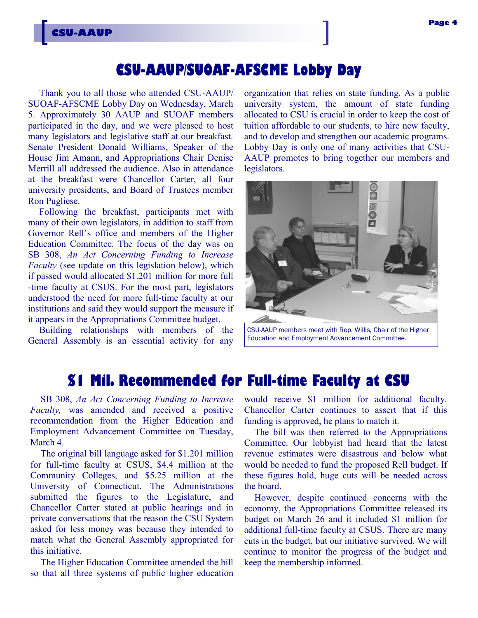## **CSU-AAUP/SUOAF-AFSCME Lobby Day**

Thank you to all those who attended CSU-AAUP/ SUOAF-AFSCME Lobby Day on Wednesday, March 5. Approximately 30 AAUP and SUOAF members participated in the day, and we were pleased to host many legislators and legislative staff at our breakfast. Senate President Donald Williams, Speaker of the House Jim Amann, and Appropriations Chair Denise Merrill all addressed the audience. Also in attendance at the breakfast were Chancellor Carter, all four university presidents, and Board of Trustees member Ron Pugliese.

**CSU-AAUP**

Following the breakfast, participants met with many of their own legislators, in addition to staff from Governor Rell's office and members of the Higher Education Committee. The focus of the day was on SB 308, *An Act Concerning Funding to Increase Faculty* (see update on this legislation below), which if passed would allocated \$1.201 million for more full -time faculty at CSUS. For the most part, legislators understood the need for more full-time faculty at our institutions and said they would support the measure if it appears in the Appropriations Committee budget.

Building relationships with members of the General Assembly is an essential activity for any organization that relies on state funding. As a public university system, the amount of state funding allocated to CSU is crucial in order to keep the cost of tuition affordable to our students, to hire new faculty, and to develop and strengthen our academic programs. Lobby Day is only one of many activities that CSU-AAUP promotes to bring together our members and legislators.



Education and Employment Advancement Committee.

## **\$1 Mil. Recommended for Full-time Faculty at CSU**

SB 308, *An Act Concerning Funding to Increase Faculty,* was amended and received a positive recommendation from the Higher Education and Employment Advancement Committee on Tuesday, March 4.

The original bill language asked for \$1.201 million for full-time faculty at CSUS, \$4.4 million at the Community Colleges, and \$5.25 million at the University of Connecticut. The Administrations submitted the figures to the Legislature, and Chancellor Carter stated at public hearings and in private conversations that the reason the CSU System asked for less money was because they intended to match what the General Assembly appropriated for this initiative.

The Higher Education Committee amended the bill so that all three systems of public higher education would receive \$1 million for additional faculty. Chancellor Carter continues to assert that if this funding is approved, he plans to match it.

The bill was then referred to the Appropriations Committee. Our lobbyist had heard that the latest revenue estimates were disastrous and below what would be needed to fund the proposed Rell budget. If these figures hold, huge cuts will be needed across the board.

However, despite continued concerns with the economy, the Appropriations Committee released its budget on March 26 and it included \$1 million for additional full-time faculty at CSUS. There are many cuts in the budget, but our initiative survived. We will continue to monitor the progress of the budget and keep the membership informed.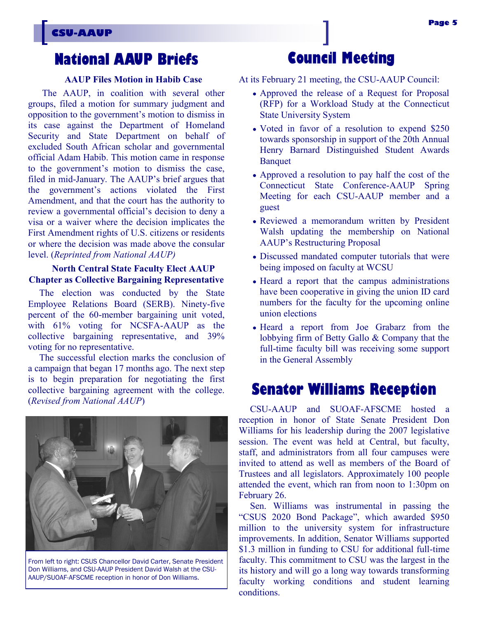## **National AAUP Briefs**

#### **AAUP Files Motion in Habib Case**

The AAUP, in coalition with several other groups, filed a motion for summary judgment and opposition to the government's motion to dismiss in its case against the Department of Homeland Security and State Department on behalf of excluded South African scholar and governmental official Adam Habib. This motion came in response to the government's motion to dismiss the case, filed in mid-January. The AAUP's brief argues that the government's actions violated the First Amendment, and that the court has the authority to review a governmental official's decision to deny a visa or a waiver where the decision implicates the First Amendment rights of U.S. citizens or residents or where the decision was made above the consular level. (*Reprinted from National AAUP)*

#### **North Central State Faculty Elect AAUP Chapter as Collective Bargaining Representative**

The election was conducted by the State Employee Relations Board (SERB). Ninety-five percent of the 60-member bargaining unit voted, with 61% voting for NCSFA-AAUP as the collective bargaining representative, and 39% voting for no representative.

The successful election marks the conclusion of a campaign that began 17 months ago. The next step is to begin preparation for negotiating the first collective bargaining agreement with the college. (*Revised from National AAUP*)

At its February 21 meeting, the CSU-AAUP Council:

- Approved the release of a Request for Proposal (RFP) for a Workload Study at the Connecticut State University System
- Voted in favor of a resolution to expend \$250 towards sponsorship in support of the 20th Annual Henry Barnard Distinguished Student Awards Banquet
- Approved a resolution to pay half the cost of the Connecticut State Conference-AAUP Spring Meeting for each CSU-AAUP member and a guest
- Reviewed a memorandum written by President Walsh updating the membership on National AAUP's Restructuring Proposal
- Discussed mandated computer tutorials that were being imposed on faculty at WCSU
- Heard a report that the campus administrations have been cooperative in giving the union ID card numbers for the faculty for the upcoming online union elections
- Heard a report from Joe Grabarz from the lobbying firm of Betty Gallo & Company that the full-time faculty bill was receiving some support in the General Assembly

#### **Senator Williams Reception**

CSU-AAUP and SUOAF-AFSCME hosted a reception in honor of State Senate President Don Williams for his leadership during the 2007 legislative session. The event was held at Central, but faculty, staff, and administrators from all four campuses were invited to attend as well as members of the Board of Trustees and all legislators. Approximately 100 people attended the event, which ran from noon to 1:30pm on February 26.

Sen. Williams was instrumental in passing the "CSUS 2020 Bond Package", which awarded \$950 million to the university system for infrastructure improvements. In addition, Senator Williams supported \$1.3 million in funding to CSU for additional full-time faculty. This commitment to CSU was the largest in the its history and will go a long way towards transforming faculty working conditions and student learning conditions.

From left to right: CSUS Chancellor David Carter, Senate President Don Williams, and CSU-AAUP President David Walsh at the CSU-AAUP/SUOAF-AFSCME reception in honor of Don Williams.